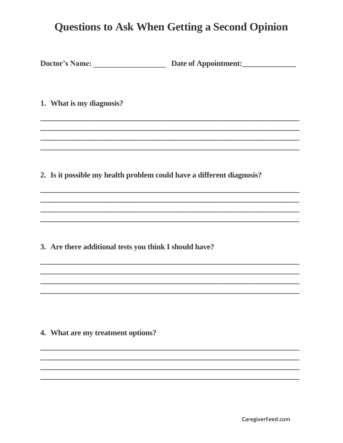1. What is my diagnosis?

2. Is it possible my health problem could have a different diagnosis?

3. Are there additional tests you think I should have?

4. What are my treatment options?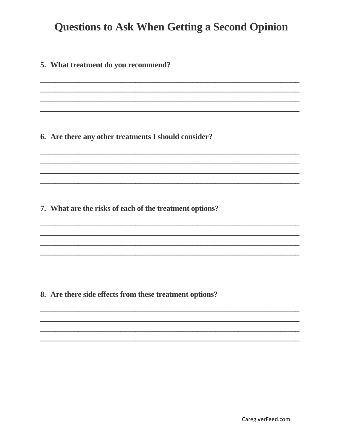#### 5. What treatment do you recommend?

6. Are there any other treatments I should consider?

7. What are the risks of each of the treatment options?

8. Are there side effects from these treatment options?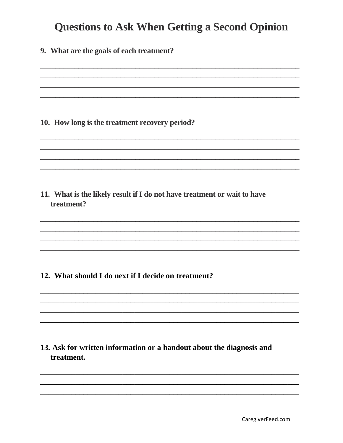9. What are the goals of each treatment?

#### 10. How long is the treatment recovery period?

11. What is the likely result if I do not have treatment or wait to have treatment?

### 12. What should I do next if I decide on treatment?

### 13. Ask for written information or a handout about the diagnosis and treatment.